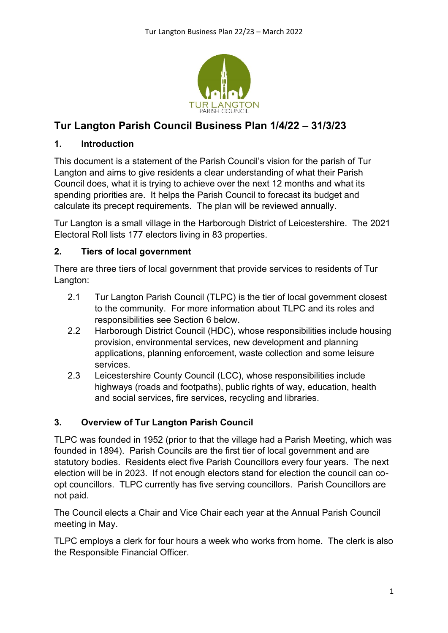

# **Tur Langton Parish Council Business Plan 1/4/22 – 31/3/23**

#### **1. Introduction**

This document is a statement of the Parish Council's vision for the parish of Tur Langton and aims to give residents a clear understanding of what their Parish Council does, what it is trying to achieve over the next 12 months and what its spending priorities are. It helps the Parish Council to forecast its budget and calculate its precept requirements. The plan will be reviewed annually.

Tur Langton is a small village in the Harborough District of Leicestershire. The 2021 Electoral Roll lists 177 electors living in 83 properties.

#### **2. Tiers of local government**

There are three tiers of local government that provide services to residents of Tur Langton:

- 2.1 Tur Langton Parish Council (TLPC) is the tier of local government closest to the community. For more information about TLPC and its roles and responsibilities see Section 6 below.
- 2.2 Harborough District Council (HDC), whose responsibilities include housing provision, environmental services, new development and planning applications, planning enforcement, waste collection and some leisure services.
- 2.3 Leicestershire County Council (LCC), whose responsibilities include highways (roads and footpaths), public rights of way, education, health and social services, fire services, recycling and libraries.

### **3. Overview of Tur Langton Parish Council**

TLPC was founded in 1952 (prior to that the village had a Parish Meeting, which was founded in 1894). Parish Councils are the first tier of local government and are statutory bodies. Residents elect five Parish Councillors every four years. The next election will be in 2023. If not enough electors stand for election the council can coopt councillors. TLPC currently has five serving councillors. Parish Councillors are not paid.

The Council elects a Chair and Vice Chair each year at the Annual Parish Council meeting in May.

TLPC employs a clerk for four hours a week who works from home. The clerk is also the Responsible Financial Officer.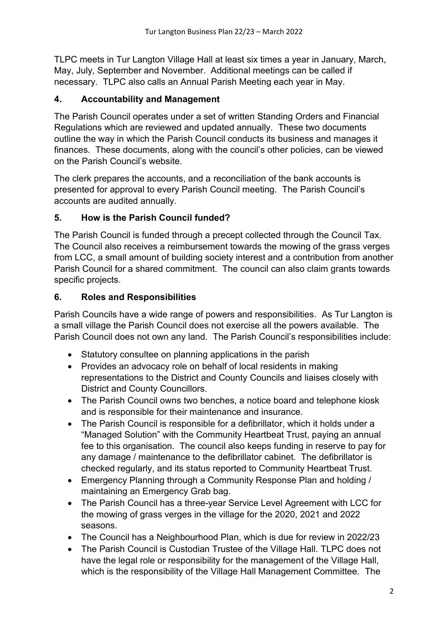TLPC meets in Tur Langton Village Hall at least six times a year in January, March, May, July, September and November. Additional meetings can be called if necessary. TLPC also calls an Annual Parish Meeting each year in May.

### **4. Accountability and Management**

The Parish Council operates under a set of written Standing Orders and Financial Regulations which are reviewed and updated annually. These two documents outline the way in which the Parish Council conducts its business and manages it finances. These documents, along with the council's other policies, can be viewed on the Parish Council's website.

The clerk prepares the accounts, and a reconciliation of the bank accounts is presented for approval to every Parish Council meeting. The Parish Council's accounts are audited annually.

### **5. How is the Parish Council funded?**

The Parish Council is funded through a precept collected through the Council Tax. The Council also receives a reimbursement towards the mowing of the grass verges from LCC, a small amount of building society interest and a contribution from another Parish Council for a shared commitment. The council can also claim grants towards specific projects.

#### **6. Roles and Responsibilities**

Parish Councils have a wide range of powers and responsibilities. As Tur Langton is a small village the Parish Council does not exercise all the powers available. The Parish Council does not own any land. The Parish Council's responsibilities include:

- Statutory consultee on planning applications in the parish
- Provides an advocacy role on behalf of local residents in making representations to the District and County Councils and liaises closely with District and County Councillors.
- The Parish Council owns two benches, a notice board and telephone kiosk and is responsible for their maintenance and insurance.
- The Parish Council is responsible for a defibrillator, which it holds under a "Managed Solution" with the Community Heartbeat Trust, paying an annual fee to this organisation. The council also keeps funding in reserve to pay for any damage / maintenance to the defibrillator cabinet. The defibrillator is checked regularly, and its status reported to Community Heartbeat Trust.
- Emergency Planning through a Community Response Plan and holding / maintaining an Emergency Grab bag.
- The Parish Council has a three-year Service Level Agreement with LCC for the mowing of grass verges in the village for the 2020, 2021 and 2022 seasons.
- The Council has a Neighbourhood Plan, which is due for review in 2022/23
- The Parish Council is Custodian Trustee of the Village Hall. TLPC does not have the legal role or responsibility for the management of the Village Hall, which is the responsibility of the Village Hall Management Committee. The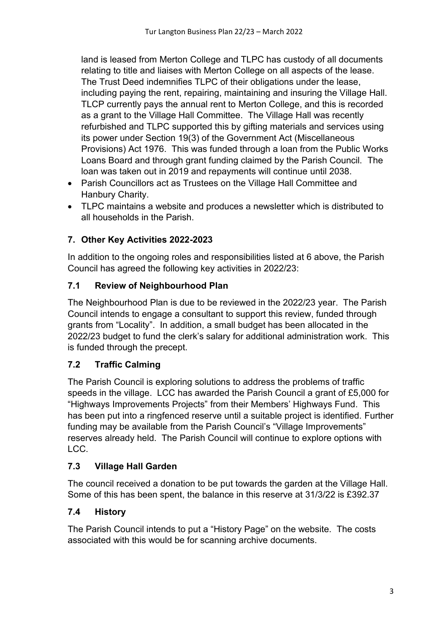land is leased from Merton College and TLPC has custody of all documents relating to title and liaises with Merton College on all aspects of the lease. The Trust Deed indemnifies TLPC of their obligations under the lease, including paying the rent, repairing, maintaining and insuring the Village Hall. TLCP currently pays the annual rent to Merton College, and this is recorded as a grant to the Village Hall Committee. The Village Hall was recently refurbished and TLPC supported this by gifting materials and services using its power under Section 19(3) of the Government Act (Miscellaneous Provisions) Act 1976. This was funded through a loan from the Public Works Loans Board and through grant funding claimed by the Parish Council. The loan was taken out in 2019 and repayments will continue until 2038.

- Parish Councillors act as Trustees on the Village Hall Committee and Hanbury Charity.
- TLPC maintains a website and produces a newsletter which is distributed to all households in the Parish.

# **7. Other Key Activities 2022-2023**

In addition to the ongoing roles and responsibilities listed at 6 above, the Parish Council has agreed the following key activities in 2022/23:

# **7.1 Review of Neighbourhood Plan**

The Neighbourhood Plan is due to be reviewed in the 2022/23 year. The Parish Council intends to engage a consultant to support this review, funded through grants from "Locality". In addition, a small budget has been allocated in the 2022/23 budget to fund the clerk's salary for additional administration work. This is funded through the precept.

# **7.2 Traffic Calming**

The Parish Council is exploring solutions to address the problems of traffic speeds in the village. LCC has awarded the Parish Council a grant of £5,000 for "Highways Improvements Projects" from their Members' Highways Fund. This has been put into a ringfenced reserve until a suitable project is identified. Further funding may be available from the Parish Council's "Village Improvements" reserves already held. The Parish Council will continue to explore options with LCC.

# **7.3 Village Hall Garden**

The council received a donation to be put towards the garden at the Village Hall. Some of this has been spent, the balance in this reserve at 31/3/22 is £392.37

# **7.4 History**

The Parish Council intends to put a "History Page" on the website. The costs associated with this would be for scanning archive documents.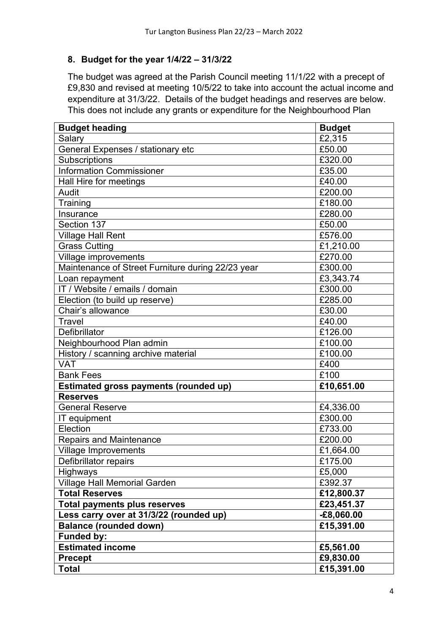#### **8. Budget for the year 1/4/22 – 31/3/22**

The budget was agreed at the Parish Council meeting 11/1/22 with a precept of £9,830 and revised at meeting 10/5/22 to take into account the actual income and expenditure at 31/3/22. Details of the budget headings and reserves are below. This does not include any grants or expenditure for the Neighbourhood Plan

| <b>Budget heading</b>                             | <b>Budget</b> |
|---------------------------------------------------|---------------|
| Salary                                            | £2,315        |
| General Expenses / stationary etc                 | £50.00        |
| <b>Subscriptions</b>                              | £320.00       |
| <b>Information Commissioner</b>                   | £35.00        |
| Hall Hire for meetings                            | £40.00        |
| Audit                                             | £200.00       |
| Training                                          | £180.00       |
| Insurance                                         | £280.00       |
| Section 137                                       | £50.00        |
| <b>Village Hall Rent</b>                          | £576.00       |
| <b>Grass Cutting</b>                              | £1,210.00     |
| Village improvements                              | £270.00       |
| Maintenance of Street Furniture during 22/23 year | £300.00       |
| Loan repayment                                    | £3,343.74     |
| IT / Website / emails / domain                    | £300.00       |
| Election (to build up reserve)                    | £285.00       |
| Chair's allowance                                 | £30.00        |
| Travel                                            | £40.00        |
| Defibrillator                                     | £126.00       |
| Neighbourhood Plan admin                          | £100.00       |
| History / scanning archive material               | £100.00       |
| <b>VAT</b>                                        | £400          |
| <b>Bank Fees</b>                                  | £100          |
| <b>Estimated gross payments (rounded up)</b>      | £10,651.00    |
| <b>Reserves</b>                                   |               |
| <b>General Reserve</b>                            | £4,336.00     |
| IT equipment                                      | £300.00       |
| Election                                          | £733.00       |
| <b>Repairs and Maintenance</b>                    | £200.00       |
| <b>Village Improvements</b>                       | £1,664.00     |
| Defibrillator repairs                             | £175.00       |
| <b>Highways</b>                                   | £5,000        |
| Village Hall Memorial Garden                      | £392.37       |
| <b>Total Reserves</b>                             | £12,800.37    |
| <b>Total payments plus reserves</b>               | £23,451.37    |
| Less carry over at 31/3/22 (rounded up)           | $-£8,060.00$  |
| <b>Balance (rounded down)</b>                     | £15,391.00    |
| <b>Funded by:</b>                                 |               |
| <b>Estimated income</b>                           | £5,561.00     |
| <b>Precept</b>                                    | £9,830.00     |
| <b>Total</b>                                      | £15,391.00    |